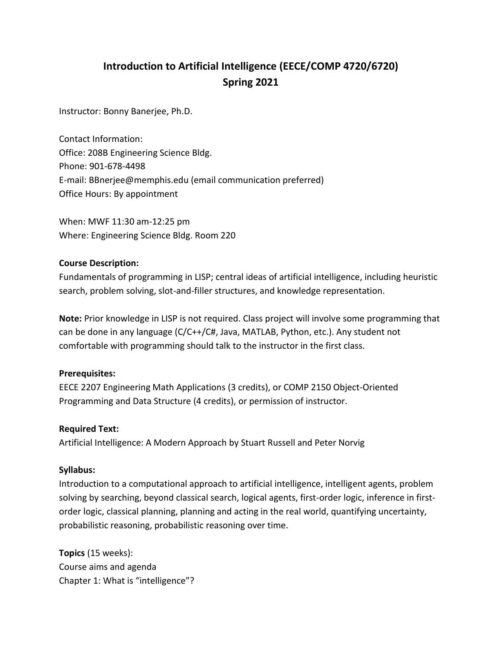# **Introduction to Artificial Intelligence (EECE/COMP 4720/6720) Spring 2021**

Instructor: Bonny Banerjee, Ph.D.

Contact Information: Office: 208B Engineering Science Bldg. Phone: 901-678-4498 E-mail: BBnerjee@memphis.edu (email communication preferred) Office Hours: By appointment

When: MWF 11:30 am-12:25 pm Where: Engineering Science Bldg. Room 220

### **Course Description:**

Fundamentals of programming in LISP; central ideas of artificial intelligence, including heuristic search, problem solving, slot-and-filler structures, and knowledge representation.

**Note:** Prior knowledge in LISP is not required. Class project will involve some programming that can be done in any language (C/C++/C#, Java, MATLAB, Python, etc.). Any student not comfortable with programming should talk to the instructor in the first class.

## **Prerequisites:**

EECE 2207 Engineering Math Applications (3 credits), or COMP 2150 Object-Oriented Programming and Data Structure (4 credits), or permission of instructor.

#### **Required Text:**

Artificial Intelligence: A Modern Approach by Stuart Russell and Peter Norvig

#### **Syllabus:**

Introduction to a computational approach to artificial intelligence, intelligent agents, problem solving by searching, beyond classical search, logical agents, first-order logic, inference in firstorder logic, classical planning, planning and acting in the real world, quantifying uncertainty, probabilistic reasoning, probabilistic reasoning over time.

**Topics** (15 weeks): Course aims and agenda Chapter 1: What is "intelligence"?